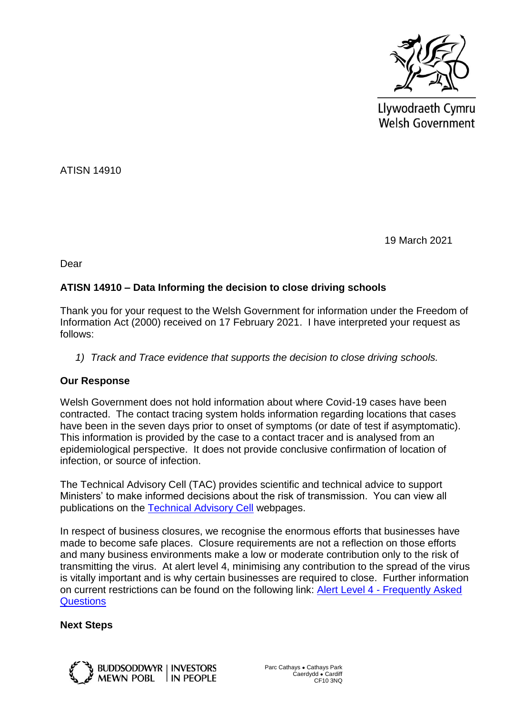

Llywodraeth Cymru Welsh Government

ATISN 14910

19 March 2021

Dear

## **ATISN 14910 – Data Informing the decision to close driving schools**

Thank you for your request to the Welsh Government for information under the Freedom of Information Act (2000) received on 17 February 2021. I have interpreted your request as follows:

*1) Track and Trace evidence that supports the decision to close driving schools.*

## **Our Response**

Welsh Government does not hold information about where Covid-19 cases have been contracted. The contact tracing system holds information regarding locations that cases have been in the seven days prior to onset of symptoms (or date of test if asymptomatic). This information is provided by the case to a contact tracer and is analysed from an epidemiological perspective. It does not provide conclusive confirmation of location of infection, or source of infection.

The Technical Advisory Cell (TAC) provides scientific and technical advice to support Ministers' to make informed decisions about the risk of transmission. You can view all publications on the [Technical Advisory Cell](https://eur01.safelinks.protection.outlook.com/?url=https%3A%2F%2Fgov.wales%2Ftechnical-advisory-cell&data=04%7C01%7CJeanette.Warren%40gov.wales%7C30ba7bd0c9c54198e7d208d8dffa3b1c%7Ca2cc36c592804ae78887d06dab89216b%7C0%7C0%7C637505613104854325%7CUnknown%7CTWFpbGZsb3d8eyJWIjoiMC4wLjAwMDAiLCJQIjoiV2luMzIiLCJBTiI6Ik1haWwiLCJXVCI6Mn0%3D%7C1000&sdata=Fz6AC%2FVGjRMfj3szaTnfV4Nr6umnMENLu9LgfO8b82c%3D&reserved=0) webpages.

In respect of business closures, we recognise the enormous efforts that businesses have made to become safe places. Closure requirements are not a reflection on those efforts and many business environments make a low or moderate contribution only to the risk of transmitting the virus. At alert level 4, minimising any contribution to the spread of the virus is vitally important and is why certain businesses are required to close. Further information on current restrictions can be found on the following link: Alert Level 4 - [Frequently Asked](https://eur01.safelinks.protection.outlook.com/?url=https%3A%2F%2Fgov.wales%2Falert-level-4-frequently-asked-questions&data=04%7C01%7CJeanette.Warren%40gov.wales%7C30ba7bd0c9c54198e7d208d8dffa3b1c%7Ca2cc36c592804ae78887d06dab89216b%7C0%7C0%7C637505613104854325%7CUnknown%7CTWFpbGZsb3d8eyJWIjoiMC4wLjAwMDAiLCJQIjoiV2luMzIiLCJBTiI6Ik1haWwiLCJXVCI6Mn0%3D%7C1000&sdata=chgI9GdCUheuW2FNDkU1WIOyzk75h7vR2colhBWWqPo%3D&reserved=0)  **[Questions](https://eur01.safelinks.protection.outlook.com/?url=https%3A%2F%2Fgov.wales%2Falert-level-4-frequently-asked-questions&data=04%7C01%7CJeanette.Warren%40gov.wales%7C30ba7bd0c9c54198e7d208d8dffa3b1c%7Ca2cc36c592804ae78887d06dab89216b%7C0%7C0%7C637505613104854325%7CUnknown%7CTWFpbGZsb3d8eyJWIjoiMC4wLjAwMDAiLCJQIjoiV2luMzIiLCJBTiI6Ik1haWwiLCJXVCI6Mn0%3D%7C1000&sdata=chgI9GdCUheuW2FNDkU1WIOyzk75h7vR2colhBWWqPo%3D&reserved=0)** 

## **Next Steps**

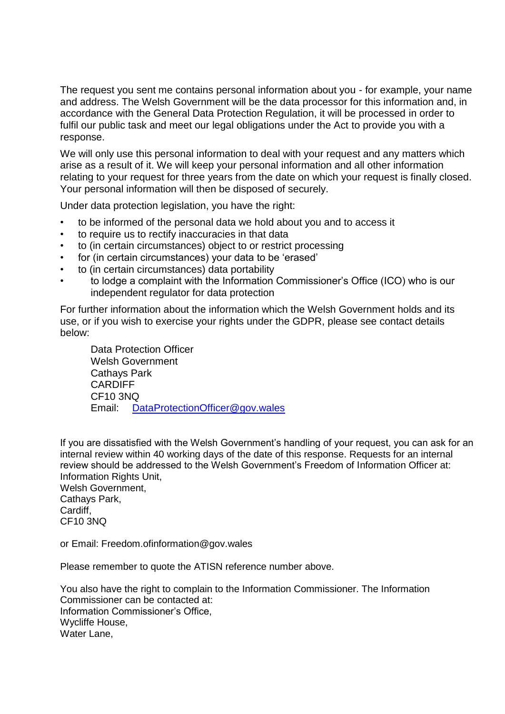The request you sent me contains personal information about you - for example, your name and address. The Welsh Government will be the data processor for this information and, in accordance with the General Data Protection Regulation, it will be processed in order to fulfil our public task and meet our legal obligations under the Act to provide you with a response.

We will only use this personal information to deal with your request and any matters which arise as a result of it. We will keep your personal information and all other information relating to your request for three years from the date on which your request is finally closed. Your personal information will then be disposed of securely.

Under data protection legislation, you have the right:

- to be informed of the personal data we hold about you and to access it
- to require us to rectify inaccuracies in that data
- to (in certain circumstances) object to or restrict processing
- for (in certain circumstances) your data to be 'erased'
- to (in certain circumstances) data portability
- to lodge a complaint with the Information Commissioner's Office (ICO) who is our independent regulator for data protection

For further information about the information which the Welsh Government holds and its use, or if you wish to exercise your rights under the GDPR, please see contact details below:

Data Protection Officer Welsh Government Cathays Park **CARDIFF** CF10 3NQ Email: [DataProtectionOfficer@gov.wales](mailto:DataProtectionOfficer@gov.wales)

If you are dissatisfied with the Welsh Government's handling of your request, you can ask for an internal review within 40 working days of the date of this response. Requests for an internal review should be addressed to the Welsh Government's Freedom of Information Officer at: Information Rights Unit,

Welsh Government, Cathays Park, Cardiff, CF10 3NQ

or Email: Freedom.ofinformation@gov.wales

Please remember to quote the ATISN reference number above.

You also have the right to complain to the Information Commissioner. The Information Commissioner can be contacted at: Information Commissioner's Office, Wycliffe House, Water Lane,